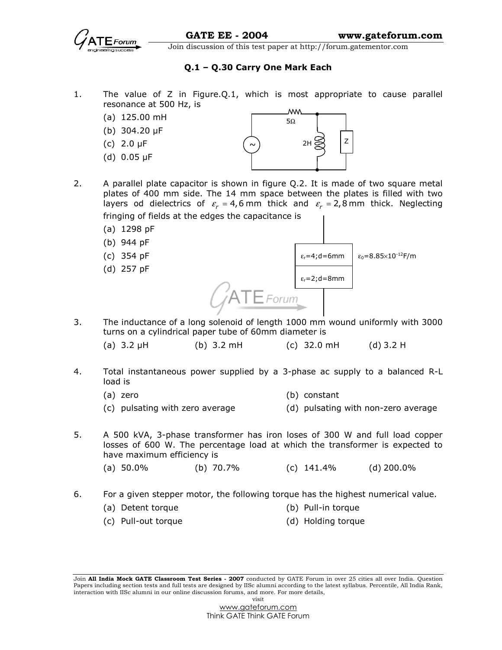

## Q.1 – Q.30 Carry One Mark Each

- 1. The value of Z in Figure.Q.1, which is most appropriate to cause parallel resonance at 500 Hz, is
	- (a) 125.00 mH
	- (b) 304.20 µF
	- (c) 2.0 µF
	- (d) 0.05 µF



- 2. A parallel plate capacitor is shown in figure Q.2. It is made of two square metal plates of 400 mm side. The 14 mm space between the plates is filled with two layers od dielectrics of  $\varepsilon_r = 4$ ,6 mm thick and  $\varepsilon_r = 2$ ,8 mm thick. Neglecting fringing of fields at the edges the capacitance is
	- (a) 1298 pF
	- (b) 944 pF
	- (c) 354 pF
	- (d) 257 pF



- 3. The inductance of a long solenoid of length 1000 mm wound uniformly with 3000 turns on a cylindrical paper tube of 60mm diameter is
	- (a) 3.2 µH (b) 3.2 mH (c) 32.0 mH (d) 3.2 H
- 4. Total instantaneous power supplied by a 3-phase ac supply to a balanced R-L load is
	- (a) zero (b) constant
	- (c) pulsating with zero average (d) pulsating with non-zero average
- 5. A 500 kVA, 3-phase transformer has iron loses of 300 W and full load copper losses of 600 W. The percentage load at which the transformer is expected to have maximum efficiency is
	- (a) 50.0% (b) 70.7% (c) 141.4% (d) 200.0%
- 6. For a given stepper motor, the following torque has the highest numerical value.
	- (a) Detent torque (b) Pull-in torque
	- (c) Pull-out torque (d) Holding torque

Join All India Mock GATE Classroom Test Series - 2007 conducted by GATE Forum in over 25 cities all over India. Question Papers including section tests and full tests are designed by IISc alumni according to the latest syllabus. Percentile, All India Rank, interaction with IISc alumni in our online discussion forums, and more. For more details, visit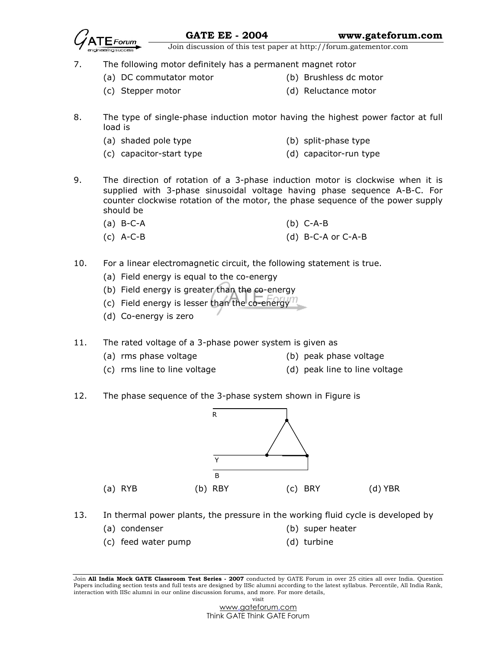$\epsilon$ **S** 

- 7. The following motor definitely has a permanent magnet rotor
	- (a) DC commutator motor (b) Brushless dc motor
		-
	- (c) Stepper motor (d) Reluctance motor
		-
- 8. The type of single-phase induction motor having the highest power factor at full load is
	- (a) shaded pole type (b) split-phase type
	- (c) capacitor-start type (d) capacitor-run type
- 9. The direction of rotation of a 3-phase induction motor is clockwise when it is supplied with 3-phase sinusoidal voltage having phase sequence A-B-C. For counter clockwise rotation of the motor, the phase sequence of the power supply should be
	- (a) B-C-A (b) C-A-B
	- (c) A-C-B (d) B-C-A or C-A-B
- 10. For a linear electromagnetic circuit, the following statement is true.
	- (a) Field energy is equal to the co-energy
	- (b) Field energy is greater than the co-energy
	- (c) Field energy is lesser than the co-energy
	- (d) Co-energy is zero

11. The rated voltage of a 3-phase power system is given as

- (a) rms phase voltage (b) peak phase voltage
- 
- (c) rms line to line voltage (d) peak line to line voltage
- 
- 12. The phase sequence of the 3-phase system shown in Figure is



- 13. In thermal power plants, the pressure in the working fluid cycle is developed by
	- (a) condenser (b) super heater
	- (c) feed water pump (d) turbine

Join All India Mock GATE Classroom Test Series - 2007 conducted by GATE Forum in over 25 cities all over India. Question Papers including section tests and full tests are designed by IISc alumni according to the latest syllabus. Percentile, All India Rank, interaction with IISc alumni in our online discussion forums, and more. For more details, visit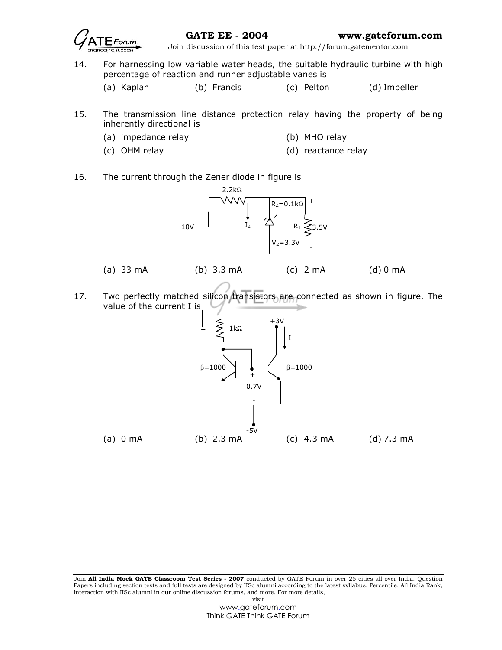

GATE EE - 2004 www.gateforum.com

 $\frac{1}{\sqrt{1-\frac{1}{n}}}\sqrt{\frac{1}{n}}$  Join discussion of this test paper at http://forum.gatementor.com

- 14. For harnessing low variable water heads, the suitable hydraulic turbine with high percentage of reaction and runner adjustable vanes is
	- (a) Kaplan (b) Francis (c) Pelton (d) Impeller
- 15. The transmission line distance protection relay having the property of being inherently directional is
	- (a) impedance relay (b) MHO relay
- - (c) OHM relay (d) reactance relay
- 
- 16. The current through the Zener diode in figure is



17. Two perfectly matched silicon transistors are connected as shown in figure. The value of the current I is

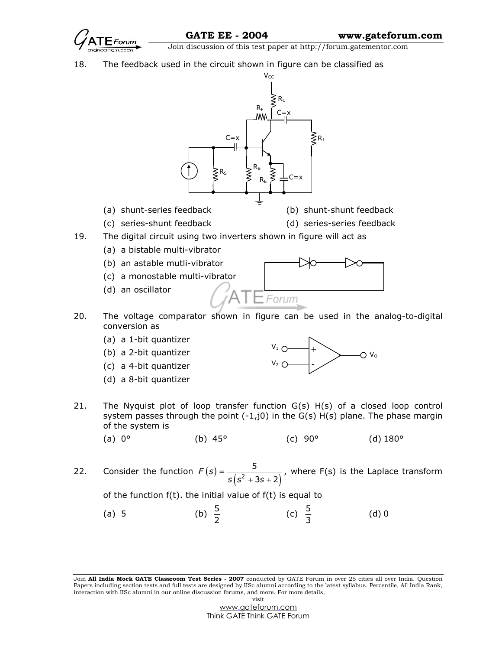

18. The feedback used in the circuit shown in figure can be classified as



- (a) shunt-series feedback (b) shunt-shunt feedback
	-
- 
- (c) series-shunt feedback (d) series-series feedback
- 19. The digital circuit using two inverters shown in figure will act as
	- (a) a bistable multi-vibrator
	- (b) an astable mutli-vibrator
	- (c) a monostable multi-vibrator
	- (d) an oscillator



- 20. The voltage comparator shown in figure can be used in the analog-to-digital conversion as
	- (a) a 1-bit quantizer
	- (b) a 2-bit quantizer
	- (c) a 4-bit quantizer
	- (d) a 8-bit quantizer



- 21. The Nyquist plot of loop transfer function G(s) H(s) of a closed loop control system passes through the point  $(-1, j0)$  in the  $G(s)$  H(s) plane. The phase margin of the system is
- (a) 0° (b) 45° (c) 90° (d) 180°
- 22. Consider the function  $F(s) = \frac{5}{s(s^2 + 3s + 2)}$ 3s + 2)  $F(s)$  $s$  (s<sup>2</sup> + 3s -=  $+3s+$ , where F(s) is the Laplace transform

of the function f(t). the initial value of f(t) is equal to

(a) 5 (b)  $\frac{5}{2}$  (c)  $\frac{5}{3}$ (d) 0

Join All India Mock GATE Classroom Test Series - 2007 conducted by GATE Forum in over 25 cities all over India. Question Papers including section tests and full tests are designed by IISc alumni according to the latest syllabus. Percentile, All India Rank, interaction with IISc alumni in our online discussion forums, and more. For more details, visit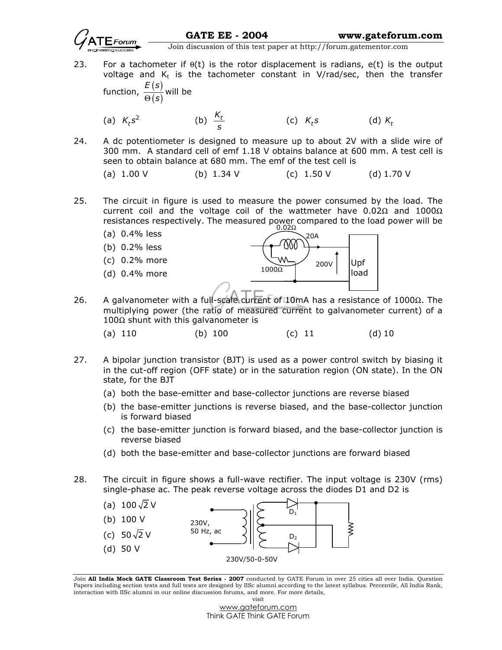

- 23. For a tachometer if  $\theta(t)$  is the rotor displacement is radians,  $e(t)$  is the output voltage and  $K_t$  is the tachometer constant in V/rad/sec, then the transfer function,  $\frac{E(s)}{s(s)}$  $(s)$  $E(s)$  $\frac{1}{\Theta(s)}$  will be
- (a)  $K_t s^2$  (b)  $\frac{K_t}{s}$ (c)  $K_t s$  (d)  $K_t$
- 24. A dc potentiometer is designed to measure up to about 2V with a slide wire of 300 mm. A standard cell of emf 1.18 V obtains balance at 600 mm. A test cell is seen to obtain balance at 680 mm. The emf of the test cell is
	- (a) 1.00 V (b)  $1.34 \text{ V}$  (c)  $1.50 \text{ V}$  (d)  $1.70 \text{ V}$
- 25. The circuit in figure is used to measure the power consumed by the load. The current coil and the voltage coil of the wattmeter have 0.02Ω and 1000Ω resistances respectively. The measured power compared to the load power will be
	- (a) 0.4% less
	- (b) 0.2% less
	- (c) 0.2% more
	- (d) 0.4% more



- 26. A galvanometer with a full-scale current of 10mA has a resistance of 1000Ω. The multiplying power (the ratio of measured current to galvanometer current) of a  $100Ω$  shunt with this galvanometer is
- (a) 110 (b) 100 (c) 11 (d) 10
- 27. A bipolar junction transistor (BJT) is used as a power control switch by biasing it in the cut-off region (OFF state) or in the saturation region (ON state). In the ON state, for the BJT
	- (a) both the base-emitter and base-collector junctions are reverse biased
	- (b) the base-emitter junctions is reverse biased, and the base-collector junction is forward biased
	- (c) the base-emitter junction is forward biased, and the base-collector junction is reverse biased
	- (d) both the base-emitter and base-collector junctions are forward biased
- 28. The circuit in figure shows a full-wave rectifier. The input voltage is 230V (rms) single-phase ac. The peak reverse voltage across the diodes D1 and D2 is



Join All India Mock GATE Classroom Test Series - 2007 conducted by GATE Forum in over 25 cities all over India. Question Papers including section tests and full tests are designed by IISc alumni according to the latest syllabus. Percentile, All India Rank, interaction with IISc alumni in our online discussion forums, and more. For more details, visit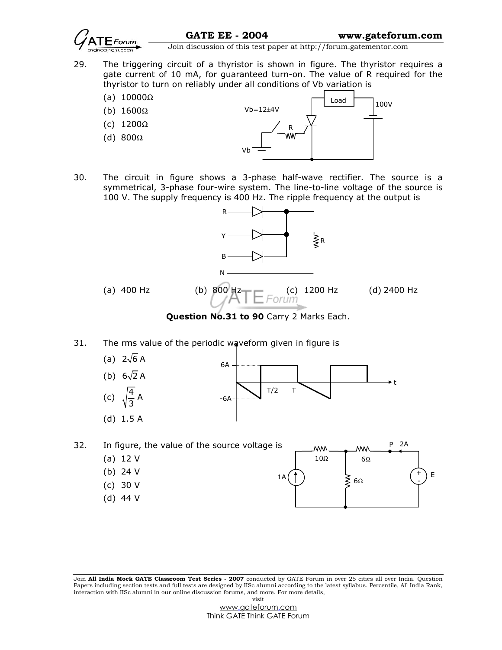

- 29. The triggering circuit of a thyristor is shown in figure. The thyristor requires a gate current of 10 mA, for guaranteed turn-on. The value of R required for the thyristor to turn on reliably under all conditions of Vb variation is
	- (a)  $10000Ω$
	- (b) 1600Ω
	- (c) 1200Ω
	- (d) 800Ω



30. The circuit in figure shows a 3-phase half-wave rectifier. The source is a symmetrical, 3-phase four-wire system. The line-to-line voltage of the source is 100 V. The supply frequency is 400 Hz. The ripple frequency at the output is



Question No.31 to 90 Carry 2 Marks Each.

31. The rms value of the periodic waveform given in figure is



P 2A 32. In figure, the value of the source voltage is W۷ w (a) 12 V  $10\Omega$  6 $\Omega$  (b) 24 V  $+$  $\overline{\phantom{0}}$  $1A(\uparrow)$   $\searrow$   $\epsilon$   $($   $\uparrow)$  E 6Ω - (c) 30 V (d) 44 V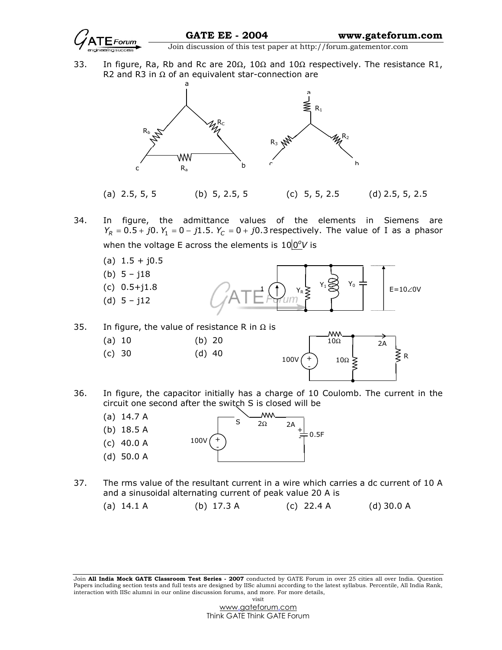

33. In figure, Ra, Rb and Rc are 20 $\Omega$ , 10 $\Omega$  and 10 $\Omega$  respectively. The resistance R1, R2 and R3 in Ω of an equivalent star-connection are



- 34. In figure, the admittance values of the elements in Siemens are  $Y_R = 0.5 + j0. Y_1 = 0 - j1.5. Y_C = 0 + j0.3$  respectively. The value of I as a phasor when the voltage E across the elements is  $10|0^{\circ}$ V is
	- $(a)$  1.5 + j0.5
	- (b)  $5 j18$
	- (c) 0.5+j1.8
	- (d) 5 j12



- 35. In figure, the value of resistance R in  $\Omega$  is
	- (a) 10 (b) 20
	- (c) 30 (d) 40



36. In figure, the capacitor initially has a charge of 10 Coulomb. The current in the circuit one second after the switch S is closed will be



37. The rms value of the resultant current in a wire which carries a dc current of 10 A and a sinusoidal alternating current of peak value 20 A is

(a) 14.1 A (b) 17.3 A (c) 22.4 A (d) 30.0 A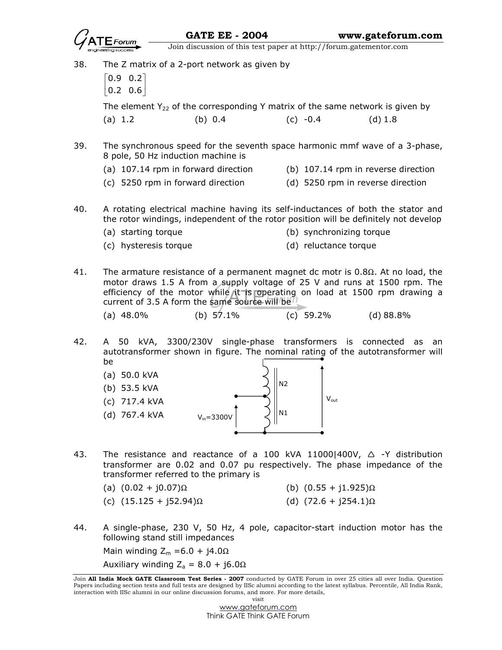

- 38. The Z matrix of a 2-port network as given by  $\begin{bmatrix} 0.9 & 0.2 \end{bmatrix}$  $\begin{bmatrix} 0.2 & 0.6 \end{bmatrix}$ The element  $Y_{22}$  of the corresponding Y matrix of the same network is given by (a) 1.2 (b) 0.4 (c) -0.4 (d) 1.8 39. The synchronous speed for the seventh space harmonic mmf wave of a 3-phase, 8 pole, 50 Hz induction machine is (a) 107.14 rpm in forward direction (b) 107.14 rpm in reverse direction (c) 5250 rpm in forward direction (d) 5250 rpm in reverse direction 40. A rotating electrical machine having its self-inductances of both the stator and the rotor windings, independent of the rotor position will be definitely not develop (a) starting torque (b) synchronizing torque
	- (c) hysteresis torque (d) reluctance torque
- 41. The armature resistance of a permanent magnet dc motr is  $0.8\Omega$ . At no load, the motor draws 1.5 A from a supply voltage of 25 V and runs at 1500 rpm. The efficiency of the motor while it is operating on load at 1500 rpm drawing a current of 3.5 A form the same source will be
	- (a) 48.0% (b) 57.1% (c) 59.2% (d) 88.8%
- 42. A 50 kVA, 3300/230V single-phase transformers is connected as an autotransformer shown in figure. The nominal rating of the autotransformer will be



- 43. The resistance and reactance of a 100 kVA 110001400V,  $\triangle$  -Y distribution transformer are 0.02 and 0.07 pu respectively. The phase impedance of the transformer referred to the primary is
	- (a)  $(0.02 + j0.07)$ Ω (b)  $(0.55 + j1.925)$ Ω
	- (c)  $(15.125 + j52.94)$ Ω (d)  $(72.6 + j254.1)$ Ω
- 
- 44. A single-phase, 230 V, 50 Hz, 4 pole, capacitor-start induction motor has the following stand still impedances

Main winding  $Z_m = 6.0 + j4.0\Omega$ 

Auxiliary winding  $Z_a = 8.0 + j6.0\Omega$ 

Join All India Mock GATE Classroom Test Series - 2007 conducted by GATE Forum in over 25 cities all over India. Question Papers including section tests and full tests are designed by IISc alumni according to the latest syllabus. Percentile, All India Rank, interaction with IISc alumni in our online discussion forums, and more. For more details, visit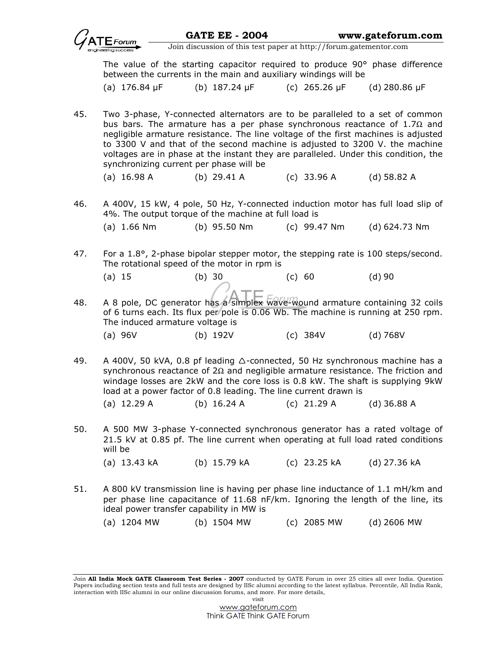|                                                                   |                                                                                                                                                                                                                                                                                                                                                                                                                                                                         | <b>GATE EE - 2004</b>     |               | www.gateforum.com    |
|-------------------------------------------------------------------|-------------------------------------------------------------------------------------------------------------------------------------------------------------------------------------------------------------------------------------------------------------------------------------------------------------------------------------------------------------------------------------------------------------------------------------------------------------------------|---------------------------|---------------|----------------------|
| Join discussion of this test paper at http://forum.gatementor.com |                                                                                                                                                                                                                                                                                                                                                                                                                                                                         |                           |               |                      |
|                                                                   | The value of the starting capacitor required to produce 90° phase difference<br>between the currents in the main and auxiliary windings will be                                                                                                                                                                                                                                                                                                                         |                           |               |                      |
|                                                                   | (a) $176.84 \,\mathrm{pF}$                                                                                                                                                                                                                                                                                                                                                                                                                                              | (b) $187.24 \mu F$        | (c) 265.26 µF | (d) $280.86 \,\mu F$ |
| 45.                                                               | Two 3-phase, Y-connected alternators are to be paralleled to a set of common<br>bus bars. The armature has a per phase synchronous reactance of 1.7 $\Omega$ and<br>negligible armature resistance. The line voltage of the first machines is adjusted<br>to 3300 V and that of the second machine is adjusted to 3200 V. the machine<br>voltages are in phase at the instant they are paralleled. Under this condition, the<br>synchronizing current per phase will be |                           |               |                      |
|                                                                   | $(a)$ 16.98 A                                                                                                                                                                                                                                                                                                                                                                                                                                                           | (b) $29.41 A$             | $(c)$ 33.96 A | $(d)$ 58.82 A        |
| 46.                                                               | A 400V, 15 kW, 4 pole, 50 Hz, Y-connected induction motor has full load slip of<br>4%. The output torque of the machine at full load is                                                                                                                                                                                                                                                                                                                                 |                           |               |                      |
|                                                                   | $(a)$ 1.66 Nm                                                                                                                                                                                                                                                                                                                                                                                                                                                           | (b) 95.50 Nm (c) 99.47 Nm |               | (d) 624.73 Nm        |
| 47.                                                               | For a 1.8°, 2-phase bipolar stepper motor, the stepping rate is 100 steps/second.<br>The rotational speed of the motor in rpm is                                                                                                                                                                                                                                                                                                                                        |                           |               |                      |
|                                                                   | (a) 15                                                                                                                                                                                                                                                                                                                                                                                                                                                                  | $(b)$ 30                  | (c) 60        | $(d)$ 90             |
| 48.                                                               | A 8 pole, DC generator has a simplex wave-wound armature containing 32 coils<br>of 6 turns each. Its flux per pole is 0.06 Wb. The machine is running at 250 rpm.<br>The induced armature voltage is                                                                                                                                                                                                                                                                    |                           |               |                      |
|                                                                   | $(a)$ 96V                                                                                                                                                                                                                                                                                                                                                                                                                                                               | (b) 192V                  | (c) 384V      | $(d)$ 768V           |
| 49.                                                               | A 400V, 50 kVA, 0.8 pf leading $\triangle$ -connected, 50 Hz synchronous machine has a<br>synchronous reactance of $2\Omega$ and negligible armature resistance. The friction and<br>windage losses are 2kW and the core loss is 0.8 kW. The shaft is supplying 9kW<br>load at a power factor of 0.8 leading. The line current drawn is<br>(a) $12.29 A$<br>(b) $16.24 A$<br>(c) $21.29 A$<br>$(d)$ 36.88 A                                                             |                           |               |                      |
|                                                                   |                                                                                                                                                                                                                                                                                                                                                                                                                                                                         |                           |               |                      |

50. A 500 MW 3-phase Y-connected synchronous generator has a rated voltage of 21.5 kV at 0.85 pf. The line current when operating at full load rated conditions will be

(a) 13.43 kA (b) 15.79 kA (c) 23.25 kA (d) 27.36 kA

51. A 800 kV transmission line is having per phase line inductance of 1.1 mH/km and per phase line capacitance of 11.68 nF/km. Ignoring the length of the line, its ideal power transfer capability in MW is

(a) 1204 MW (b) 1504 MW (c) 2085 MW (d) 2606 MW

Join All India Mock GATE Classroom Test Series - 2007 conducted by GATE Forum in over 25 cities all over India. Question Papers including section tests and full tests are designed by IISc alumni according to the latest syllabus. Percentile, All India Rank, interaction with IISc alumni in our online discussion forums, and more. For more details, visit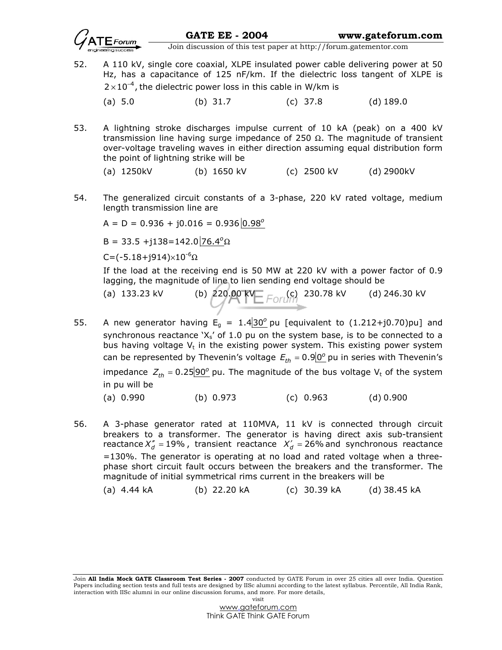

52. A 110 kV, single core coaxial, XLPE insulated power cable delivering power at 50 Hz, has a capacitance of 125 nF/km. If the dielectric loss tangent of XLPE is  $2 \times 10^{-4}$ , the dielectric power loss in this cable in W/km is

(a) 5.0 (b) 31.7 (c) 37.8 (d) 189.0

53. A lightning stroke discharges impulse current of 10 kA (peak) on a 400 kV transmission line having surge impedance of 250 Ω. The magnitude of transient over-voltage traveling waves in either direction assuming equal distribution form the point of lightning strike will be

(a) 1250kV (b) 1650 kV (c) 2500 kV (d) 2900kV

54. The generalized circuit constants of a 3-phase, 220 kV rated voltage, medium length transmission line are

 $A = D = 0.936 + j0.016 = 0.936 |0.98^{\circ}$ 

B = 33.5 +j138=142.0 76.4 $\Omega$ 

C=( $-5.18 + j914$ )× $10^{-6}$ Ω

 If the load at the receiving end is 50 MW at 220 kV with a power factor of 0.9 lagging, the magnitude of line to lien sending end voltage should be

- (a) 133.23 kV (b) 220.00 KV  $\equiv$   $\equiv$   $\equiv$   $\sim$  (c) 230.78 kV (d) 246.30 kV
- 55. A new generator having  $E_g = 1.4 \frac{30^{\circ}}{1.4}$  pu [equivalent to  $(1.212 + j0.70)$  pu] and synchronous reactance ' $X_s'$  of 1.0 pu on the system base, is to be connected to a bus having voltage  $V_t$  in the existing power system. This existing power system can be represented by Thevenin's voltage  $E_{th} = 0.9 \cdot 0^{\circ}$  pu in series with Thevenin's impedance  $Z_{th} = 0.25 \times 90^{\circ}$  pu. The magnitude of the bus voltage V<sub>t</sub> of the system in pu will be
	- (a) 0.990 (b) 0.973 (c) 0.963 (d) 0.900
- 56. A 3-phase generator rated at 110MVA, 11 kV is connected through circuit breakers to a transformer. The generator is having direct axis sub-transient reactance  $X''_d$  = 19%, transient reactance  $X'_d$  = 26% and synchronous reactance =130%. The generator is operating at no load and rated voltage when a threephase short circuit fault occurs between the breakers and the transformer. The magnitude of initial symmetrical rims current in the breakers will be

(a) 4.44 kA (b) 22.20 kA (c) 30.39 kA (d) 38.45 kA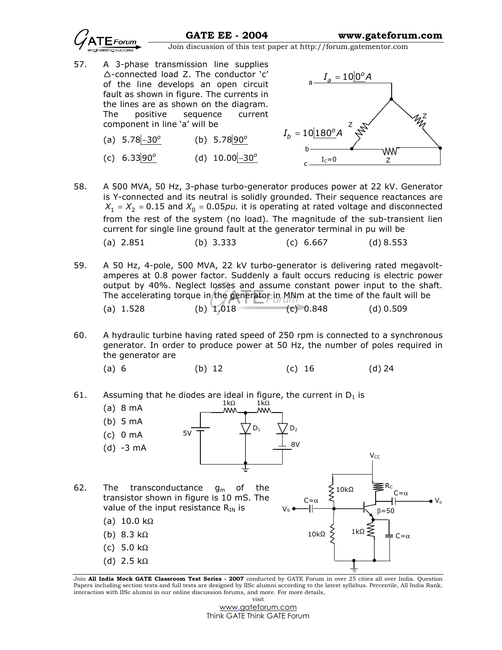

- 57. A 3-phase transmission line supplies -connected load Z. The conductor 'c' of the line develops an open circuit fault as shown in figure. The currents in the lines are as shown on the diagram. The positive sequence current component in line 'a' will be
	- (a)  $5.78 30^{\circ}$ (b)  $5.78|90^{\circ}$
	- (c)  $6.33|90^{\circ}$ (d)  $10.00 - 30^{\circ}$



- 58. A 500 MVA, 50 Hz, 3-phase turbo-generator produces power at 22 kV. Generator is Y-connected and its neutral is solidly grounded. Their sequence reactances are  $X_1 = X_2 = 0.15$  and  $X_0 = 0.05$  *pu*. it is operating at rated voltage and disconnected from the rest of the system (no load). The magnitude of the sub-transient lien current for single line ground fault at the generator terminal in pu will be (a) 2.851 (b) 3.333 (c) 6.667 (d) 8.553
- 59. A 50 Hz, 4-pole, 500 MVA, 22 kV turbo-generator is delivering rated megavoltamperes at 0.8 power factor. Suddenly a fault occurs reducing is electric power output by 40%. Neglect losses and assume constant power input to the shaft. The accelerating torque in the generator in MNm at the time of the fault will be (a)  $1.528$  (b)  $1.018$  (c)  $0.848$  (d)  $0.509$
- 60. A hydraulic turbine having rated speed of 250 rpm is connected to a synchronous generator. In order to produce power at 50 Hz, the number of poles required in the generator are
- (a) 6 (b) 12 (c) 16 (d) 24

61. Assuming that he diodes are ideal in figure, the current in  $D_1$  is



Join All India Mock GATE Classroom Test Series - 2007 conducted by GATE Forum in over 25 cities all over India. Question Papers including section tests and full tests are designed by IISc alumni according to the latest syllabus. Percentile, All India Rank, interaction with IISc alumni in our online discussion forums, and more. For more details, visit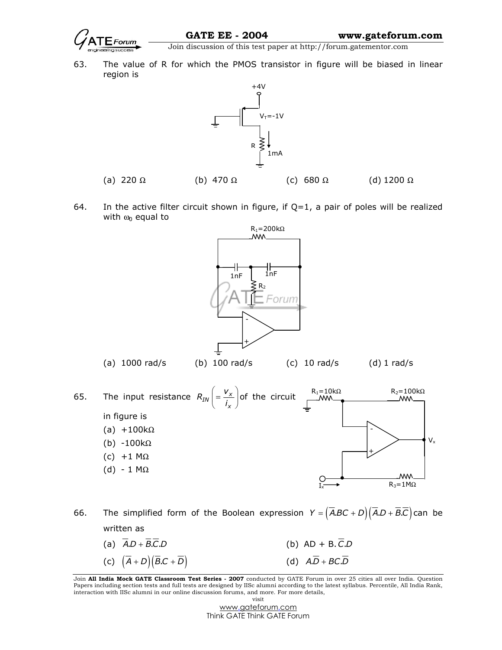

63. The value of R for which the PMOS transistor in figure will be biased in linear region is



64. In the active filter circuit shown in figure, if  $Q=1$ , a pair of poles will be realized with  $\omega_0$  equal to



66. The simplified form of the Boolean expression  $Y = (\overline{A}BC + D)(\overline{A}D + \overline{B}C)$  can be written as

(a)  $\overline{A} \cdot D + \overline{B} \cdot \overline{C} \cdot D$  . (b)  $AD + B \cdot \overline{C} \cdot D$ (c)  $(\overline{A} + D)(\overline{B} \cdot C + \overline{D})$  (d)  $A \cdot \overline{D} + B \cdot C \cdot \overline{D}$ 

Join All India Mock GATE Classroom Test Series - 2007 conducted by GATE Forum in over 25 cities all over India. Question Papers including section tests and full tests are designed by IISc alumni according to the latest syllabus. Percentile, All India Rank, interaction with IISc alumni in our online discussion forums, and more. For more details, visit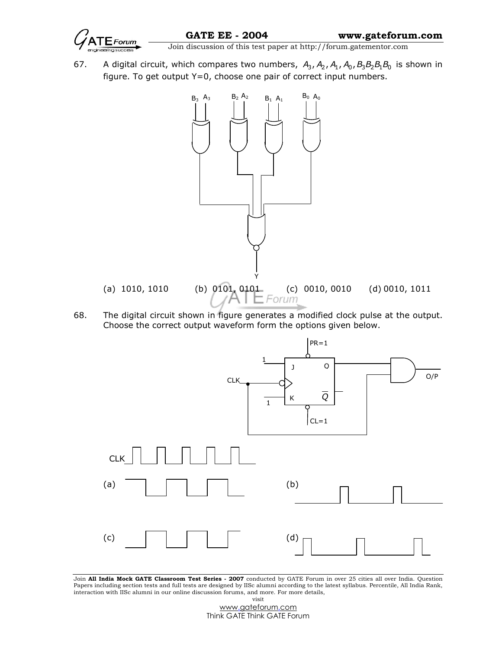$\overline{\text{Join}}$   $\overline{\text{Join}}$   $\overline{\text{Join}}$   $\overline{\text{div}}$   $\overline{\text{div}}$   $\overline{\text{top}}$   $\overline{\text{div}}$   $\overline{\text{div}}$   $\overline{\text{div}}$   $\overline{\text{div}}$   $\overline{\text{div}}$   $\overline{\text{div}}$   $\overline{\text{div}}$   $\overline{\text{div}}$   $\overline{\text{div}}$   $\overline{\text{div}}$   $\overline{\text{div}}$   $\overline{\text{div}}$   $\overline{\text{div}}$   $\overline{\text{div}}$ 

67. A digital circuit, which compares two numbers,  $A_3$ ,  $A_2$ ,  $A_1$ ,  $A_0$ ,  $B_3B_2B_1B_0$  is shown in figure. To get output Y=0, choose one pair of correct input numbers.



68. The digital circuit shown in figure generates a modified clock pulse at the output. Choose the correct output waveform form the options given below.



Join All India Mock GATE Classroom Test Series - 2007 conducted by GATE Forum in over 25 cities all over India. Question Papers including section tests and full tests are designed by IISc alumni according to the latest syllabus. Percentile, All India Rank, interaction with IISc alumni in our online discussion forums, and more. For more details, visit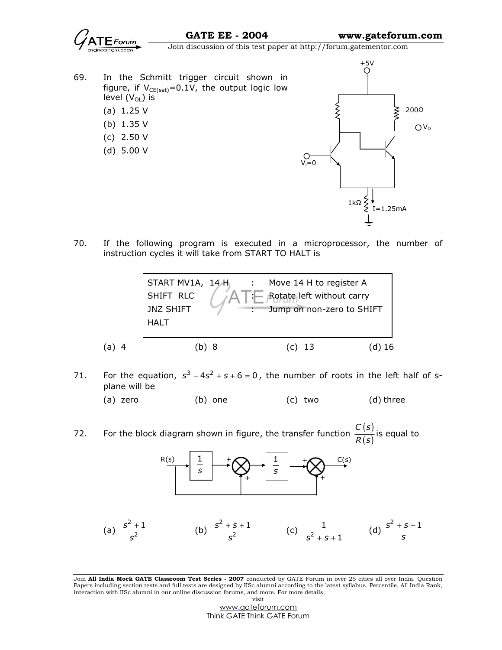- 69. In the Schmitt trigger circuit shown in figure, if  $V_{CE(sat)} = 0.1V$ , the output logic low level  $(V_{OL})$  is
	- (a) 1.25 V
	- (b) 1.35 V
	- (c) 2.50 V
	- (d) 5.00 V



70. If the following program is executed in a microprocessor, the number of instruction cycles it will take from START TO HALT is



- 71. For the equation,  $s^3 4s^2 + s + 6 = 0$ , the number of roots in the left half of splane will be
	- (a) zero (b) one (c) two (d) three
- 72. For the block diagram shown in figure, the transfer function  $\frac{C(s)}{R(s)}$  $(s)$  $C(s)$  $\frac{(-\epsilon)}{R(s)}$  is equal to



(a) 
$$
\frac{s^2 + 1}{s^2}
$$
 (b)  $\frac{s^2 + s + 1}{s^2}$  (c)  $\frac{1}{s^2 + s + 1}$  (d)  $\frac{s^2 + s + 1}{s}$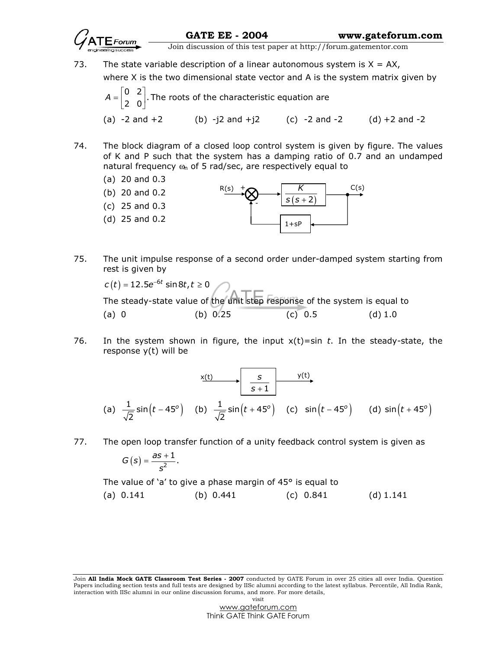73. The state variable description of a linear autonomous system is  $X = AX$ ,

where X is the two dimensional state vector and A is the system matrix given by

$$
A = \begin{bmatrix} 0 & 2 \\ 2 & 0 \end{bmatrix}
$$
. The roots of the characteristic equation are  
(a) -2 and +2 (b) -j2 and +j2 (c) -2 and -2 (d) +2 and -2

- 74. The block diagram of a closed loop control system is given by figure. The values of K and P such that the system has a damping ratio of 0.7 and an undamped natural frequency  $\omega_n$  of 5 rad/sec, are respectively equal to
	- (a) 20 and 0.3
	- (b) 20 and 0.2 (c) 25 and 0.3 (d) 25 and 0.2 R(s)  $s(s + 2)$ K C(s)  $1 + \varsigma F$ + -
- 75. The unit impulse response of a second order under-damped system starting from rest is given by

 $c\left( t \right)$  = 12.5 ${\rm e}^{-6t}$  sin $8t$ ,  $t \ge 0$  The steady-state value of the unit step response of the system is equal to (a) 0 (b) 0.25 (c) 0.5 (d) 1.0

76. In the system shown in figure, the input  $x(t)$ =sin t. In the steady-state, the response y(t) will be

(a) 
$$
\frac{1}{\sqrt{2}}\sin(t-45^\circ)
$$
 (b)  $\frac{1}{\sqrt{2}}\sin(t+45^\circ)$  (c)  $\sin(t-45^\circ)$  (d)  $\sin(t+45^\circ)$ 

77. The open loop transfer function of a unity feedback control system is given as

$$
G(s)=\frac{as+1}{s^2}.
$$

The value of 'a' to give a phase margin of 45° is equal to

(a) 0.141 (b) 0.441 (c) 0.841 (d) 1.141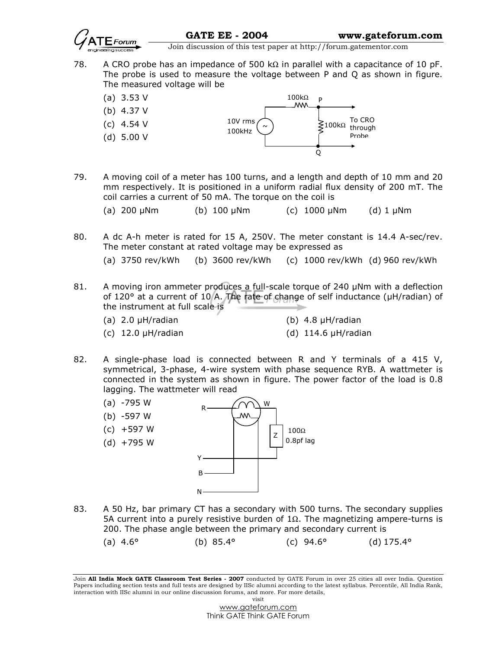

- 78. A CRO probe has an impedance of 500 kΩ in parallel with a capacitance of 10 pF. The probe is used to measure the voltage between P and Q as shown in figure. The measured voltage will be
	- (a) 3.53 V
	- (b) 4.37 V
	- (c) 4.54 V
	- (d) 5.00 V



- 79. A moving coil of a meter has 100 turns, and a length and depth of 10 mm and 20 mm respectively. It is positioned in a uniform radial flux density of 200 mT. The coil carries a current of 50 mA. The torque on the coil is
	- (a) 200 µNm (b) 100 µNm (c) 1000 µNm (d) 1 µNm
- 80. A dc A-h meter is rated for 15 A, 250V. The meter constant is 14.4 A-sec/rev. The meter constant at rated voltage may be expressed as
	- (a) 3750 rev/kWh (b) 3600 rev/kWh (c) 1000 rev/kWh (d) 960 rev/kWh
- 81. A moving iron ammeter produces a full-scale torque of 240 µNm with a deflection of 120° at a current of 10 A. The rate of change of self inductance (µH/radian) of the instrument at full scale is
	- (a)  $2.0 \mu$ H/radian (b)  $4.8 \mu$ H/radian
		- (c)  $12.0 \mu H/r$ adian (d)  $114.6 \mu H/r$ adian
- 82. A single-phase load is connected between R and Y terminals of a 415 V, symmetrical, 3-phase, 4-wire system with phase sequence RYB. A wattmeter is connected in the system as shown in figure. The power factor of the load is 0.8 lagging. The wattmeter will read



- 83. A 50 Hz, bar primary CT has a secondary with 500 turns. The secondary supplies 5A current into a purely resistive burden of 1Ω. The magnetizing ampere-turns is 200. The phase angle between the primary and secondary current is
	- (a)  $4.6^{\circ}$  (b)  $85.4^{\circ}$  (c)  $94.6^{\circ}$  (d)  $175.4^{\circ}$

Join All India Mock GATE Classroom Test Series - 2007 conducted by GATE Forum in over 25 cities all over India. Question Papers including section tests and full tests are designed by IISc alumni according to the latest syllabus. Percentile, All India Rank, interaction with IISc alumni in our online discussion forums, and more. For more details, visit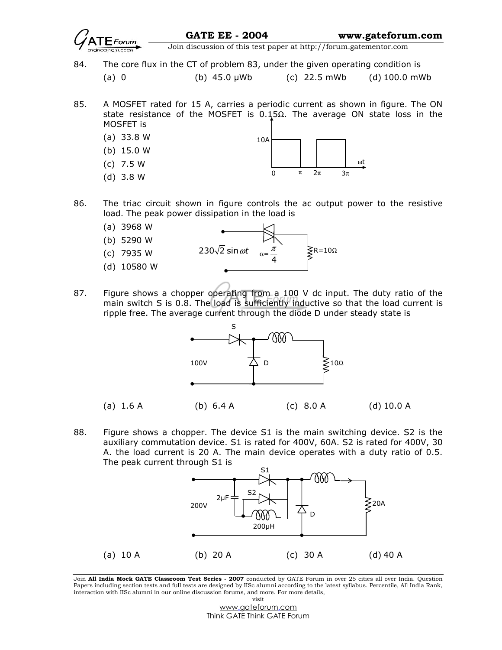

GATE EE - 2004 www.gateforum.com

Join discussion of this test paper at http://forum.gatementor.com

84. The core flux in the CT of problem 83, under the given operating condition is

(a) 0 (b) 45.0 µWb (c) 22.5 mWb (d) 100.0 mWb

85. A MOSFET rated for 15 A, carries a periodic current as shown in figure. The ON state resistance of the MOSFET is  $0.15Ω$ . The average ON state loss in the MOSFET is



- 86. The triac circuit shown in figure controls the ac output power to the resistive load. The peak power dissipation in the load is
	- (a) 3968 W (b) 5290 W (c) 7935 W (d) 10580 W 230 $\sqrt{2}$  sin  $\omega t$ 4 **≷**R=10Ω
- 87. Figure shows a chopper operating from a 100 V dc input. The duty ratio of the main switch S is 0.8. The load is sufficiently inductive so that the load current is ripple free. The average current through the diode D under steady state is



88. Figure shows a chopper. The device S1 is the main switching device. S2 is the auxiliary commutation device. S1 is rated for 400V, 60A. S2 is rated for 400V, 30 A. the load current is 20 A. The main device operates with a duty ratio of 0.5. The peak current through S1 is



Join All India Mock GATE Classroom Test Series - 2007 conducted by GATE Forum in over 25 cities all over India. Question Papers including section tests and full tests are designed by IISc alumni according to the latest syllabus. Percentile, All India Rank, interaction with IISc alumni in our online discussion forums, and more. For more details, visit